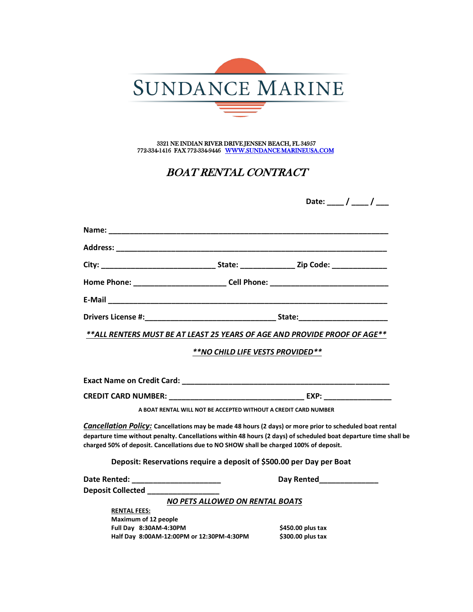

3321 NE INDIAN RIVER DRIVE JENSEN BEACH, FL 34957 772-334-1416 FAX 772-334-9446 W[WW.SUNDANCE MARINEUSA.COM](www.sundancemarineusa.com)

## BOAT RENTAL CONTRACT

|                                                                                                                                                                                                                                |                                                                 | Date: ___ / ___ / ___                                                                                                                                                                                                                                                                                      |  |
|--------------------------------------------------------------------------------------------------------------------------------------------------------------------------------------------------------------------------------|-----------------------------------------------------------------|------------------------------------------------------------------------------------------------------------------------------------------------------------------------------------------------------------------------------------------------------------------------------------------------------------|--|
|                                                                                                                                                                                                                                |                                                                 |                                                                                                                                                                                                                                                                                                            |  |
| Address: Andreas Address: Address: Address: Address: Address: Address: Address: Address: Address: Address: Address: Address: Address: Address: Address: Address: Address: Address: Address: Address: Address: Address: Address |                                                                 |                                                                                                                                                                                                                                                                                                            |  |
|                                                                                                                                                                                                                                |                                                                 |                                                                                                                                                                                                                                                                                                            |  |
|                                                                                                                                                                                                                                |                                                                 | Home Phone: ___________________________Cell Phone: _____________________________                                                                                                                                                                                                                           |  |
|                                                                                                                                                                                                                                |                                                                 |                                                                                                                                                                                                                                                                                                            |  |
|                                                                                                                                                                                                                                |                                                                 |                                                                                                                                                                                                                                                                                                            |  |
|                                                                                                                                                                                                                                |                                                                 | **ALL RENTERS MUST BE AT LEAST 25 YEARS OF AGE AND PROVIDE PROOF OF AGE**                                                                                                                                                                                                                                  |  |
|                                                                                                                                                                                                                                | **NO CHILD LIFE VESTS PROVIDED**                                |                                                                                                                                                                                                                                                                                                            |  |
|                                                                                                                                                                                                                                |                                                                 |                                                                                                                                                                                                                                                                                                            |  |
|                                                                                                                                                                                                                                |                                                                 |                                                                                                                                                                                                                                                                                                            |  |
|                                                                                                                                                                                                                                |                                                                 |                                                                                                                                                                                                                                                                                                            |  |
|                                                                                                                                                                                                                                | A BOAT RENTAL WILL NOT BE ACCEPTED WITHOUT A CREDIT CARD NUMBER |                                                                                                                                                                                                                                                                                                            |  |
| charged 50% of deposit. Cancellations due to NO SHOW shall be charged 100% of deposit.                                                                                                                                         |                                                                 | <b>Cancellation Policy:</b> Cancellations may be made 48 hours (2 days) or more prior to scheduled boat rental<br>departure time without penalty. Cancellations within 48 hours (2 days) of scheduled boat departure time shall be<br>Deposit: Reservations require a deposit of \$500.00 per Day per Boat |  |
|                                                                                                                                                                                                                                |                                                                 | Day Rented <b>Day</b>                                                                                                                                                                                                                                                                                      |  |
| Deposit Collected <b>Deposit Collected</b>                                                                                                                                                                                     |                                                                 |                                                                                                                                                                                                                                                                                                            |  |
|                                                                                                                                                                                                                                | <b>NO PETS ALLOWED ON RENTAL BOATS</b>                          |                                                                                                                                                                                                                                                                                                            |  |
| <b>RENTAL FEES:</b>                                                                                                                                                                                                            |                                                                 |                                                                                                                                                                                                                                                                                                            |  |
| <b>Maximum of 12 people</b><br>Full Day 8:30AM-4:30PM                                                                                                                                                                          |                                                                 | \$450.00 plus tax                                                                                                                                                                                                                                                                                          |  |
|                                                                                                                                                                                                                                | Half Day 8:00AM-12:00PM or 12:30PM-4:30PM                       | \$300.00 plus tax                                                                                                                                                                                                                                                                                          |  |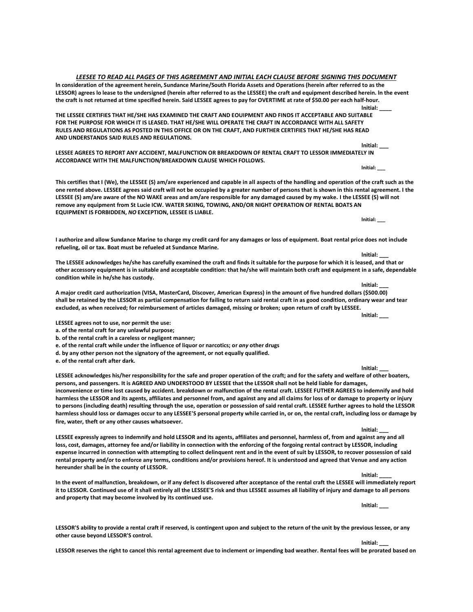**LESSOR reserves the right to cancel this rental agreement due to inclement or impending bad weather. Rental fees will be prorated based on**

*LEESEE TO READ ALL PAGES OF THIS AGREEMENT AND INITIAL EACH CLAUSE BEFORE SIGNING THIS DOCUMENT* **ln consideration of the agreement herein, Sundance Marine/South Florida Assets and Operations (herein after referred to as the**

**LESSOR) agrees lo lease to the undersigned (herein after referred to as the LESSEE) the craft and equipment described herein. ln the event the craft is not returned at time specified herein. Said LESSEE agrees to pay for OVERTIME at rate of \$50.00 per each half-hour. lnitial: \_\_\_\_ THE LESSEE CERTIFIES THAT HE/SHE HAS EXAMINED THE CRAFT AND EOUIPMENT AND FINDS IT ACCEPTABLE AND SUITABLE FOR THE PURPOSE FOR WHICH IT IS LEASED. THAT HE/SHE WILL OPERATE THE CRAFT IN ACCORDANCE WITH ALL SAFETY**

**RULES AND REGULATIONS AS POSTED IN THIS OFFICE OR ON THE CRAFT, AND FURTHER CERTIFIES THAT HE/SHE HAS READ AND UNDERSTANDS SAID RULES AND REGULATIONS. lnitial: \_\_\_**

**LESSEE AGREES TO REPORT ANY ACCIDENT, MALFUNCTION OR BREAKDOWN OF RENTAL CRAFT TO LESSOR IMMEDIATELY IN ACCORDANCE WITH THE MALFUNCTION/BREAKDOWN CLAUSE WHICH FOLLOWS.**

**This certifies that I (We), the LESSEE (S) am/are experienced and capable in all aspects of the handling and operation of the craft such as the one rented above. LESSEE agrees said craft will not be occupied by a greater number of persons that is shown in this rental agreement. I the LESSEE (S) am/are aware of the NO WAKE areas and am/are responsible for any damaged caused by my wake. I the LESSEE (S) will not remove any equipment from St Lucie ICW. WATER SKIING, TOWING, AND/OR NIGHT OPERATION OF RENTAL BOATS AN EQUIPMENT IS FORBIDDEN,** *NO* **EXCEPTION, LESSEE IS LIABLE.**

**I authorize and allow Sundance Marine to charge my credit card for any damages or loss of equipment. Boat rental price does not include refueling, oil or tax. Boat must be refueled at Sundance Marine.**

**The LESSEE acknowledges he/she has carefully examined the craft and finds it suitable for the purpose for which it is leased, and that or other accessory equipment is in suitable and acceptable condition: that he/she will maintain both craft and equipment in a safe, dependable condition while in he/she has custody.**

**A major credit card authorization (VISA, MasterCard, Discover, American Express) in the amount of five hundred dollars (\$500.00) shall be retained by the LESSOR as partial compensation for failing to return said rental craft in as good condition, ordinary wear and tear excluded, as when received; for reimbursement of articles damaged, missing or broken; upon return of craft by LESSEE. lnitial: \_\_\_**

**LESSEE agrees not to use, nor permit the use:**

**a. of the rental craft for any unlawful purpose;**

**b. of the rental craft in a careless or negligent manner;**

**e. of the rental craft while under the influence of liquor or narcotics; or** *any* **other drugs**

**d. by any other person not the signatory of the agreement, or not equally qualified.**

**e. of the rental craft after dark.**

**LESSEE acknowledges his/her responsibility for the safe and proper operation of the craft; and for the safety and welfare of other boaters, persons, and passengers. It is AGREED AND UNDERSTOOD BY LESSEE that the LESSOR shall not be held liable for damages, inconvenience or time lost caused by accident. breakdown or malfunction of the rental craft. LESSEE FUTHER AGREES to indemnify and hold harmless the LESSOR and its agents, affiliates and personnel from, and against any and all claims for loss of or damage to property or injury to persons (including death) resulting through the use, operation or possession of said rental craft. LESSEE further agrees to hold the LESSOR harmless should loss or damages occur to any LESSEE'S personal property while carried in, or on, the rental craft, including loss or damage by fire, water, theft or any other causes whatsoever.**

**LESSEE expressly agrees to indemnify and hold LESSOR and its agents, affiliates and personnel, harmless of, from and against any and all loss, cost, damages, attorney fee and/or liability in connection with the enforcing of the forgoing rental contract by LESSOR, including expense incurred in connection with attempting to collect delinquent rent and in the event of suit by LESSOR, to recover possession of said rental property and/or to enforce any terms, conditions and/or provisions hereof. It is understood and agreed that Venue and any action hereunder shall be in the county of LESSOR.**

**In the event of malfunction, breakdown, or if any defect Is discovered after acceptance of the rental craft the LESSEE will immediately report it to LESSOR. Continued use of it shall entirely all the LESSEE'S risk and thus LESSEE assumes all liability of injury and damage to all persons and property that may become involved by its continued use.**

**LESSOR'S ability to provide a rental craft if reserved, is contingent upon and subject to the return of the unit by the previous lessee, or any other cause beyond LESSOR'S control. lnitial: \_\_\_**

**lnitial: \_\_\_**

**lnitial: \_\_\_**

**lnitial: \_\_\_**

**lnitial: \_\_\_**

**lnitial: \_\_\_\_**

**lnitial: \_\_\_**

**lnitial: \_\_\_**

**lnitial: \_\_\_**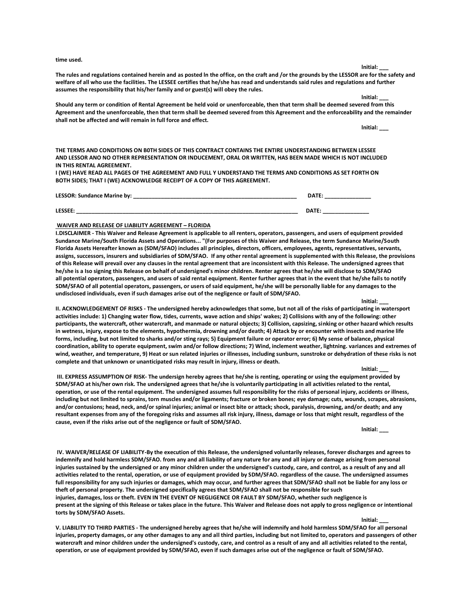**lnitial: \_\_\_ Should any term or condition of Rental Agreement be held void or unenforceable, then that term shall be deemed severed from this Agreement and the unenforceable, then that term shall be deemed severed from this Agreement and the enforceability and the remainder** 

**THE TERMS AND CONDITIONS ON B0TH SIDES OF THIS CONTRACT CONTAINS THE ENTIRE UNDERSTANDING BETWEEN LESSEE AND LESSOR ANO NO OTHER REPRESENTATION OR INDUCEMENT, ORAL OR WRITTEN, HAS BEEN MADE WHICH IS NOT INCLUDED IN THIS RENTAL AGREEMENT.**

**The rules and regulations contained herein and as posted ln the office, on the craft and /or the grounds by the LESSOR are for the safety and**

**I (WE) HAVE READ ALL PAGES OF THE AGREEMENT AND FULL Y UNDERSTAND THE TERMS AND CONDITIONS AS SET FORTH ON BOTH SIDES; THAT I (WE) ACKNOWLEDGE RECEIPT OF A COPY OF THIS AGREEMENT.**

**LESSOR: Sundance Marine by: \_\_\_\_\_\_\_\_\_\_\_\_\_\_\_\_\_\_\_\_\_\_\_\_\_\_\_\_\_\_\_\_\_\_\_\_\_\_\_\_\_\_\_\_\_\_\_\_\_\_\_\_\_ DATE: \_\_\_\_\_\_\_\_\_\_\_\_\_\_\_ LESSEE: \_\_\_\_\_\_\_\_\_\_\_\_\_\_\_\_\_\_\_\_\_\_\_\_\_\_\_\_\_\_\_\_\_\_\_\_\_\_\_\_\_\_\_\_\_\_\_\_\_\_\_\_\_\_\_\_\_\_\_\_\_\_\_\_\_\_\_\_\_\_\_\_ DATE: \_\_\_\_\_\_\_\_\_\_\_\_\_\_\_**

## **WAIVER AND RELEASE OF LIABILITY AGREEMENT – FLORIDA**

**shall not be affected and will remain in full force and effect.**

**assumes the responsibility that his/her family and or guest(s) will obey the rules.**

**I.DISCLAIMER - This Waiver and Release Agreement is applicable to all renters, operators, passengers, and users of equipment provided Sundance Marine/South Florida Assets and Operations... "(For purposes of this Waiver and Release, the term Sundance Marine/South Florida Assets Hereafter known as (SDM/SFAO) includes all principles, directors, officers, employees, agents, representatives, servants, assigns, successors, insurers and subsidiaries of SDM/SFAO. If any other rental agreement is supplemented with this Release, the provisions of this Release will prevail over any clauses in the rental agreement that are inconsistent with this Release. The undersigned agrees that he/she is a Iso signing this Release on behalf of undersigned's minor children. Renter agrees that he/she will disclose to SDM/SFAO all potential operators, passengers, and users of said rental equipment. Renter further agrees that in the event that he/she fails to notify SDM/SFAO of all potential operators, passengers, or users of said equipment, he/she will be personally liable for any damages to the undisclosed individuals, even if such damages arise out of the negligence or fault of SDM/SFAO.**

**II. ACKNOWLEDGEMENT OF RISKS - The undersigned hereby acknowledges that some, but not all of the risks of participating in watersport activities include: 1) Changing water flow, tides, currents, wave action and ships' wakes; 2) Collisions with any of the following: other participants, the watercraft, other watercraft, and manmade or natural objects; 3) Collision, capsizing, sinking or other hazard which results in wetness, injury, expose to the elements, hypothermia, drowning and/or death; 4) Attack by or encounter with insects and marine life forms, including, but not limited to sharks and/or sting rays; 5) Equipment failure or operator error; 6) My sense of balance, physical coordination, ability to operate equipment, swim and/or follow directions; 7) Wind, inclement weather, lightning. variances and extremes of wind, weather, and temperature, 9) Heat or sun related injuries or illnesses, including sunburn, sunstroke or dehydration of these risks is not complete and that unknown or unanticipated risks may result in injury, illness or death.**

## **lnitial: \_\_\_**

**lnitial: \_\_\_**

**III. EXPRESS ASSUMPTION OF RISK- The undersign hereby agrees that he/she is renting, operating or using the equipment provided by SDM/SFAO at his/her own risk. The undersigned agrees that he/she is voluntarily participating in all activities related to the rental, operation, or use of the rental equipment. The undersigned assumes full responsibility for the risks of personal injury, accidents or illness, including but not limited to sprains, torn muscles and/or ligaments; fracture or broken bones; eye damage; cuts, wounds, scrapes, abrasions, and/or contusions; head, neck, and/or spinal injuries; animal or insect bite or attack; shock, paralysis, drowning, and/or death; and any resultant expenses from any of the foregoing risks and assumes all risk injury, illness, damage or loss that might result, regardless of the cause, even if the risks arise out of the negligence or fault of SDM/SFAO.**

**lnitial: \_\_\_**

**lnitial: \_\_\_**

**IV. WAIVER/RELEASE OF LIABILITY-By the execution of this Release, the undersigned voluntarily releases, forever discharges and agrees to indemnify and hold harmless SDM/SFAO. from any and all liability of any nature for any and all injury or damage arising from personal injuries sustained by the undersigned or any minor children under the undersigned's custody, care, and control, as a result of any and all activities related to the rental, operation, or use of equipment provided by SDM/SFAO. regardless of the cause. The undersigned assumes full responsibility for any such injuries or damages, which may occur, and further agrees that SDM/SFAO shall not be liable for any loss or theft of personal property. The undersigned specifically agrees that SDM/SFAO shall not be responsible for such injuries, damages, loss or theft. EVEN IN THE EVENT OF NEGLIGENCE OR FAULT BY SDM/SFAO, whether such negligence is present at the signing of this Release or takes place in the future. This Waiver and Release does not apply to gross negligence or intentional torts by SDM/SFAO Assets.**

**V. LIABILITY TO THIRD PARTIES - The undersigned hereby agrees that he/she will indemnify and hold harmless SDM/SFAO for all personal injuries, property damages, or any other damages to any and all third parties, including but not limited to, operators and passengers of other watercraft and minor children under the undersigned's custody, care, and control as a result of any and all activities related to the rental, operation, or use of equipment provided by SDM/SFAO, even if such damages arise out of the negligence or fault of SDM/SFAO.**

## **time used.**

**welfare of all who use the facilities. The LESSEE certifies that he/she has read and understands said rules and regulations and further** 

**lnitial: \_\_\_**

| Initial: |  |
|----------|--|
|          |  |